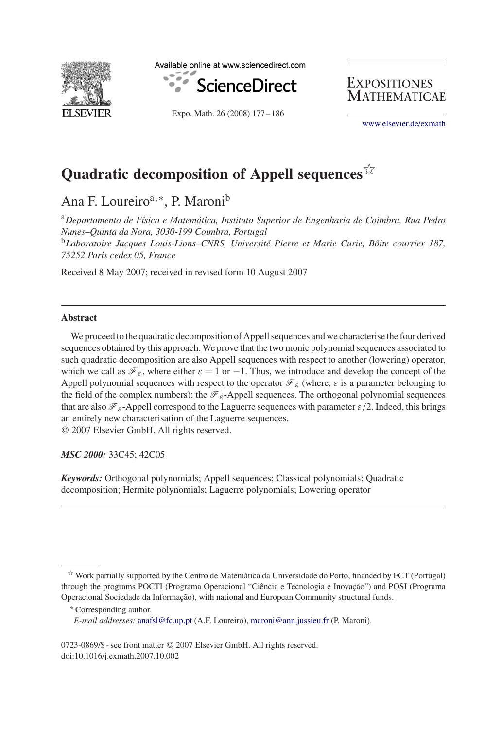

Available online at www.sciencedirect.com



**EXPOSITIONES** Mathematicae

Expo. Math. 26 (2008) 177 – 186

[www.elsevier.de/exmath](http://www.elsevier.de/exmath)

# **Quadratic decomposition of Appell sequences**-

Ana F. Loureiro<sup>a,∗</sup>, P. Maroni<sup>b</sup>

<sup>a</sup>*Departamento de Física e Matemática, Instituto Superior de Engenharia de Coimbra, Rua Pedro Nunes–Quinta da Nora, 3030-199 Coimbra, Portugal*

<sup>b</sup>*Laboratoire Jacques Louis-Lions–CNRS, Université Pierre et Marie Curie, Bôite courrier 187, 75252 Paris cedex 05, France*

Received 8 May 2007; received in revised form 10 August 2007

#### **Abstract**

We proceed to the quadratic decomposition of Appell sequences and we characterise the four derived sequences obtained by this approach. We prove that the two monic polynomial sequences associated to such quadratic decomposition are also Appell sequences with respect to another (lowering) operator, which we call as  $\mathcal{F}_{\varepsilon}$ , where either  $\varepsilon = 1$  or  $-1$ . Thus, we introduce and develop the concept of the Appell polynomial sequences with respect to the operator  $\mathcal{F}_{\varepsilon}$  (where,  $\varepsilon$  is a parameter belonging to the field of the complex numbers): the  $\mathcal{F}_{\varepsilon}$ -Appell sequences. The orthogonal polynomial sequences that are also  $\mathcal{F}_{\varepsilon}$ -Appell correspond to the Laguerre sequences with parameter  $\varepsilon/2$ . Indeed, this brings an entirely new characterisation of the Laguerre sequences. 2007 Elsevier GmbH. All rights reserved.

*MSC 2000:* 33C45; 42C05

*Keywords:* Orthogonal polynomials; Appell sequences; Classical polynomials; Quadratic decomposition; Hermite polynomials; Laguerre polynomials; Lowering operator

<sup>-</sup> Work partially supported by the Centro de Matemática da Universidade do Porto, financed by FCT (Portugal) through the programs POCTI (Programa Operacional "Ciência e Tecnologia e Inovação") and POSI (Programa Operacional Sociedade da Informação), with national and European Community structural funds.

<sup>∗</sup> Corresponding author.

*E-mail addresses:* [anafsl@fc.up.pt](mailto:anafsl@fc.up.pt) (A.F. Loureiro), [maroni@ann.jussieu.fr](mailto:maroni@ann.jussieu.fr) (P. Maroni).

<sup>0723-0869/\$ -</sup> see front matter © 2007 Elsevier GmbH. All rights reserved. doi:10.1016/j.exmath.2007.10.002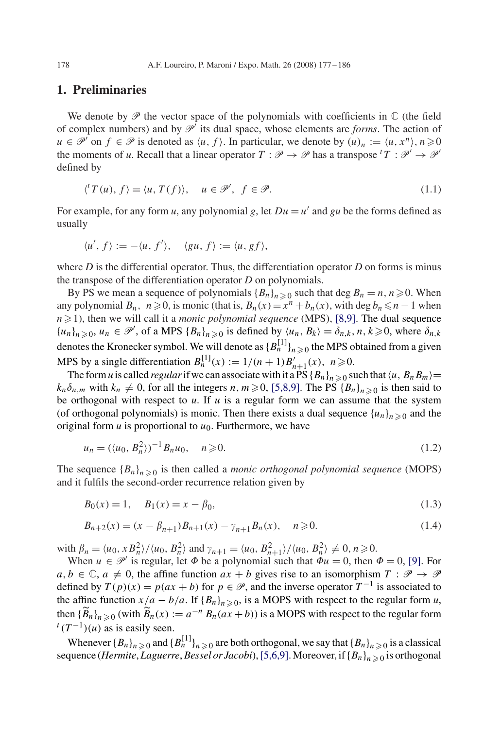#### **1. Preliminaries**

We denote by  $\mathscr P$  the vector space of the polynomials with coefficients in  $\mathbb C$  (the field of complex numbers) and by  $\mathcal{P}'$  its dual space, whose elements are *forms*. The action of  $u \in \mathcal{P}$  on  $f \in \mathcal{P}$  is denoted as  $\langle u, f \rangle$ . In particular, we denote by  $(u)_n := \langle u, x^n \rangle, n \ge 0$ <br>the moments of u Recall that a linear operator  $T : \mathcal{P} \rightarrow \mathcal{P}$  has a transpose  $T : \mathcal{P}' \rightarrow \mathcal{P}'$ the moments of *u*. Recall that a linear operator  $T : \mathcal{P} \to \mathcal{P}$  has a transpose  ${}^{t}T : \mathcal{P}' \to \mathcal{P}'$ <br>defined by defined by

$$
\langle^{t}T(u), f\rangle = \langle u, T(f)\rangle, \quad u \in \mathcal{P}', \ f \in \mathcal{P}.
$$
\n(1.1)

For example, for any form *u*, any polynomial *g*, let  $Du = u'$  and *gu* be the forms defined as usually

$$
\langle u', f \rangle := -\langle u, f' \rangle, \quad \langle gu, f \rangle := \langle u, gf \rangle,
$$

where  $D$  is the differential operator. Thus, the differentiation operator  $D$  on forms is minus the transpose of the differentiation operator *D* on polynomials.

By PS we mean a sequence of polynomials  ${B_n}_{n \geq 0}$  such that deg  $B_n = n, n \geq 0$ . When any polynomial  $B_n$ ,  $n \ge 0$ , is monic (that is,  $B_n(x) = x^n + b_n(x)$ , with deg  $b_n \le n-1$  when  $n \ge 1$ ), then we will call it a monic polynomial sequence (MPS). [8.9] The dual sequence  $n \ge 1$ ), then we will call it a *monic polynomial sequence* (MPS), [8,9]. The dual sequence  $\{u_k\}_{k \ge 0}$  of a MPS  $\{R_k\}_{k \ge 0}$  is defined by  $\{u_k, R_k\}_{k \ge 0}$ ,  $n, k \ge 0$  where  $\delta_{k \ge 0}$  ${u_n}_{n\geqslant 0}$ ,  $u_n \in \mathcal{P}'$ , of a MPS  ${B_n}_{n\geqslant 0}$  is defined by  $\langle u_n, B_k \rangle = \delta_{n,k}, n, k \geqslant 0$ , where  $\delta$ denotes the Kronecker symbol. We will denote as  ${B_n^{[1]}}_{n \geq 0}$  the MPS obtained from a given MPS by a single differentiation  $B_n^{[1]}(x) := 1/(n+1)B'_{n+1}(x), n \ge 0$ .<br>The form u is called *regular* if we can associate with it a PS { $R_n$ }

The form *u* is called *regular* if we can associate with it a PS  ${B_n}_{n\geq 0}$  such that  $\langle u, B_n B_m \rangle = \delta$  with  $k \neq 0$  for all the integers  $n, m \geq 0$  is a Pressure BS  $IR$ ,  $\lambda_{\text{max}}$  is then said to  $k_n \delta_{n,m}$  with  $k_n \neq 0$ , for all the integers  $n, m \geq 0$ , [5,8,9]. The PS  ${B_n}_{n \geq 0}$  is then said to be orthogonal with respect to u. If u is a requier form we can assume that the system be orthogonal with respect to  $u$ . If  $u$  is a regular form we can assume that the system (of orthogonal polynomials) is monic. Then there exists a dual sequence  $\{u_n\}_{n\geq 0}$  and the original form u is proportional to us. Furthermore, we have original form  $u$  is proportional to  $u<sub>0</sub>$ . Furthermore, we have

$$
u_n = (\langle u_0, B_n^2 \rangle)^{-1} B_n u_0, \quad n \ge 0.
$$
 (1.2)

The sequence  ${B_n}_{n\geq 0}$  is then called a *monic orthogonal polynomial sequence* (MOPS) and it fulfils the second-order recurrence relation given by

$$
B_0(x) = 1, \quad B_1(x) = x - \beta_0,\tag{1.3}
$$

$$
B_{n+2}(x) = (x - \beta_{n+1})B_{n+1}(x) - \gamma_{n+1}B_n(x), \quad n \ge 0.
$$
 (1.4)

with  $\beta_n = \langle u_0, x B_n^2 \rangle / \langle u_0, B_n^2 \rangle$  and  $\gamma_{n+1} = \langle u_0, B_{n+1}^2 \rangle / \langle u_0, B_n^2 \rangle \neq 0, n \ge 0$ .<br>When  $u \in \mathcal{P}'$  is regular, let  $\Phi$  be a polynomial such that  $\Phi u = 0$ , then

When  $u \in \mathcal{P}'$  is regular, let  $\Phi$  be a polynomial such that  $\Phi u = 0$ , then  $\Phi = 0$ , [\[9\].](#page-8-0) For  $a, b \in \mathbb{C}, a \neq 0$ , the affine function  $ax + b$  gives rise to an isomorphism  $T : \mathcal{P} \to \mathcal{P}$ defined by  $T(p)(x) = p(ax + b)$  for  $p \in \mathcal{P}$ , and the inverse operator  $T^{-1}$  is associated to the affine function  $x/a - b/a$ . If  ${B_n}_{n \ge 0}$ , is a MOPS with respect to the regular form *u*,<br>then  ${B_n}_{n \ge 0}$  (with  $\widetilde{B_n}(x) := a^{-n} P_n (ax + b)$ ) is a MOPS with respect to the regular form then  $\{\widetilde{B}_n\}_{n\geq 0}$  (with  $\widetilde{B}_n(x) := a^{-n} B_n(ax+b)$ ) is a MOPS with respect to the regular form  $\binom{n}{x}$  as is easily seen.

Whenever  ${B_n}_{n \geq 0}$  and  ${B_n^{[1]}}_{n \geq 0}$  are both orthogonal, we say that  ${B_n}_{n \geq 0}$  is a classical<br>we cell *Hermite Laquerre Bessel or Jacobi*) 15.6.91 Moreover if  ${B_n}$ , such a sorthogonal sequence (*Hermite*, *Laguerre*, *Bessel or Jacobi*), [5,6,9]. Moreover, if  ${B_n}_{n\geqslant 0}$  is orthogonal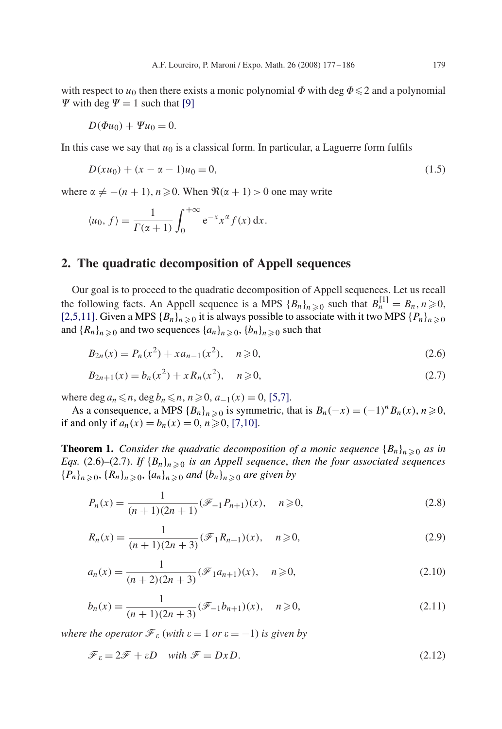with respect to  $u_0$  then there exists a monic polynomial  $\Phi$  with deg  $\Phi \leq 2$  and a polynomial  $\Psi$  with deg  $\Psi = 1$  such that [\[9\]](#page-8-0)

$$
D(\Phi u_0) + \Psi u_0 = 0.
$$

In this case we say that  $u_0$  is a classical form. In particular, a Laguerre form fulfils

$$
D(xu_0) + (x - \alpha - 1)u_0 = 0,\t\t(1.5)
$$

where  $\alpha \neq -(n+1), n \geq 0$ . When  $\Re(\alpha + 1) > 0$  one may write

$$
\langle u_0, f \rangle = \frac{1}{\Gamma(\alpha+1)} \int_0^{+\infty} e^{-x} x^{\alpha} f(x) \, \mathrm{d}x.
$$

#### **2. The quadratic decomposition of Appell sequences**

Our goal is to proceed to the quadratic decomposition of Appell sequences. Let us recall the following facts. An Appell sequence is a MPS {Bn}n-<sup>0</sup> such that <sup>B</sup>[1] <sup>n</sup> <sup>=</sup> Bn, n-0, [2,5,11]. Given a MPS  ${B_n}_{n\geq 0}$  it is always possible to associate with it two MPS  ${P_n}_{n\geq 0}$ <br>and  ${B_n}_{n\geq 0}$  and two sequences  ${A_n}_{n\geq 0}$  is a  ${B_n}_{n\geq 0}$  such that and  ${R_n}_{n\geq 0}$  and two sequences  ${a_n}_{n\geq 0}$ ,  ${b_n}_{n\geq 0}$  such that

$$
B_{2n}(x) = P_n(x^2) + x a_{n-1}(x^2), \quad n \ge 0,
$$
\n(2.6)

$$
B_{2n+1}(x) = b_n(x^2) + x R_n(x^2), \quad n \ge 0,
$$
\n(2.7)

where deg  $a_n \le n$ , deg  $b_n \le n$ ,  $n \ge 0$ ,  $a_{-1}(x) = 0$ , [5,7].<br>As a consequence a MPS  $\{R_1\}$ , is symmetric the

As a consequence, a MPS  ${B_n}_{n \ge 0}$  is symmetric, that is  $B_n(-x) = (-1)^n B_n(x)$ ,  $n \ge 0$ ,<br>and only if  $a_n(x) = b_n(x) = 0$ ,  $n > 0$ , [7,10] if and only if  $a_n(x) = b_n(x) = 0, n \ge 0, [7, 10].$ 

**Theorem 1.** *Consider the quadratic decomposition of a monic sequence*  ${B_n}_n \geq 0$  *as in*  $Fas$  (2.6)–(2.7) If  ${B_n}$  ), a is an Annell sequence, then the four associated sequences *Eqs.* (2.6)–(2.7). *If*  ${B_n}_{n \geq 0}$  *is an Appell sequence*, *then the four associated sequences*  ${P_n}_{n \geq 0}, {R_n}_{n \geq 0}, {a_n}_{n \geq 0}$  and  ${b_n}_{n \geq 0}$  are given by

$$
P_n(x) = \frac{1}{(n+1)(2n+1)} (\mathcal{F}_{-1} P_{n+1})(x), \quad n \ge 0,
$$
\n(2.8)

$$
R_n(x) = \frac{1}{(n+1)(2n+3)} (\mathcal{F}_1 R_{n+1})(x), \quad n \ge 0,
$$
\n(2.9)

$$
a_n(x) = \frac{1}{(n+2)(2n+3)} (\mathcal{F}_1 a_{n+1})(x), \quad n \ge 0,
$$
\n(2.10)

$$
b_n(x) = \frac{1}{(n+1)(2n+3)} (\mathcal{F}_{-1}b_{n+1})(x), \quad n \ge 0,
$$
\n(2.11)

*where the operator*  $\mathcal{F}_{\varepsilon}$  (*with*  $\varepsilon = 1$  *or*  $\varepsilon = -1$ ) *is given by* 

$$
\mathcal{F}_{\varepsilon} = 2\mathcal{F} + \varepsilon D \quad \text{with } \mathcal{F} = DxD. \tag{2.12}
$$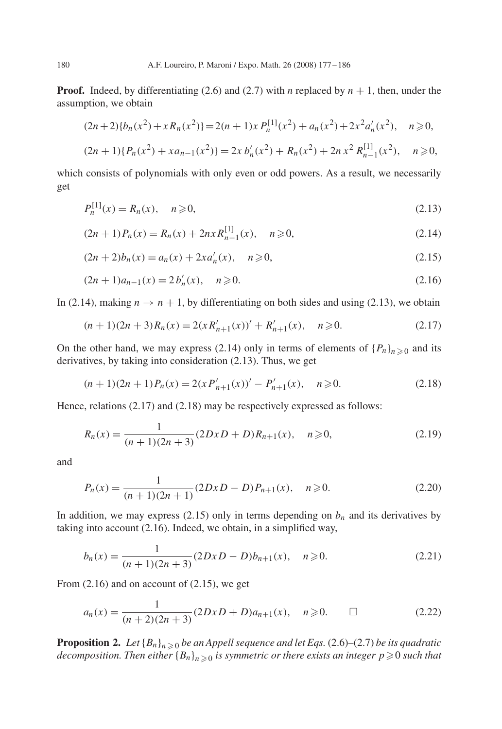**Proof.** Indeed, by differentiating (2.6) and (2.7) with *n* replaced by  $n + 1$ , then, under the assumption, we obtain

$$
(2n+2)\{b_n(x^2) + x R_n(x^2)\} = 2(n+1)x P_n^{[1]}(x^2) + a_n(x^2) + 2x^2 a'_n(x^2), \quad n \ge 0,
$$

$$
(2n+1)\{P_n(x^2) + xa_{n-1}(x^2)\} = 2x b'_n(x^2) + R_n(x^2) + 2nx^2 R_{n-1}^{[1]}(x^2), \quad n \ge 0,
$$

which consists of polynomials with only even or odd powers. As a result, we necessarily get

$$
P_n^{[1]}(x) = R_n(x), \quad n \ge 0,
$$
\n(2.13)

$$
(2n+1)P_n(x) = R_n(x) + 2nx R_{n-1}^{[1]}(x), \quad n \ge 0,
$$
\n(2.14)

$$
(2n+2)b_n(x) = a_n(x) + 2xa'_n(x), \quad n \ge 0,
$$
\n(2.15)

$$
(2n+1)a_{n-1}(x) = 2b'_n(x), \quad n \ge 0.
$$
\n(2.16)

In (2.14), making  $n \to n + 1$ , by differentiating on both sides and using (2.13), we obtain

$$
(n+1)(2n+3)R_n(x) = 2(xR'_{n+1}(x))' + R'_{n+1}(x), \quad n \ge 0.
$$
 (2.17)

On the other hand, we may express (2.14) only in terms of elements of  $\{P_n\}_{n\geq 0}$  and its derivatives by taking into consideration (2.13). Thus, we get derivatives, by taking into consideration (2.13). Thus, we get

$$
(n+1)(2n+1)P_n(x) = 2(xP'_{n+1}(x))' - P'_{n+1}(x), \quad n \ge 0.
$$
\n(2.18)

Hence, relations (2.17) and (2.18) may be respectively expressed as follows:

$$
R_n(x) = \frac{1}{(n+1)(2n+3)} (2DxD + D)R_{n+1}(x), \quad n \ge 0,
$$
\n(2.19)

and

$$
P_n(x) = \frac{1}{(n+1)(2n+1)} (2DxD - D) P_{n+1}(x), \quad n \ge 0.
$$
 (2.20)

In addition, we may express (2.15) only in terms depending on  $b_n$  and its derivatives by taking into account (2.16). Indeed, we obtain, in a simplified way,

$$
b_n(x) = \frac{1}{(n+1)(2n+3)} (2DxD - D)b_{n+1}(x), \quad n \ge 0.
$$
 (2.21)

From (2.16) and on account of (2.15), we get

$$
a_n(x) = \frac{1}{(n+2)(2n+3)} (2DxD + D)a_{n+1}(x), \quad n \ge 0. \qquad \Box \tag{2.22}
$$

**Proposition 2.** Let  ${B_n}_{n \geq 0}$  be an Appell sequence and let Eqs. (2.6)–(2.7) be its quadratic decomposition. Then either  ${B_n}$ ,  $\geq$  o is symmetric or there exists an integer  $n \geq 0$  such that decomposition. Then either  ${B_n}_{n\geqslant 0}$  is symmetric or there exists an integer  $p\!\geqslant\! 0$  such that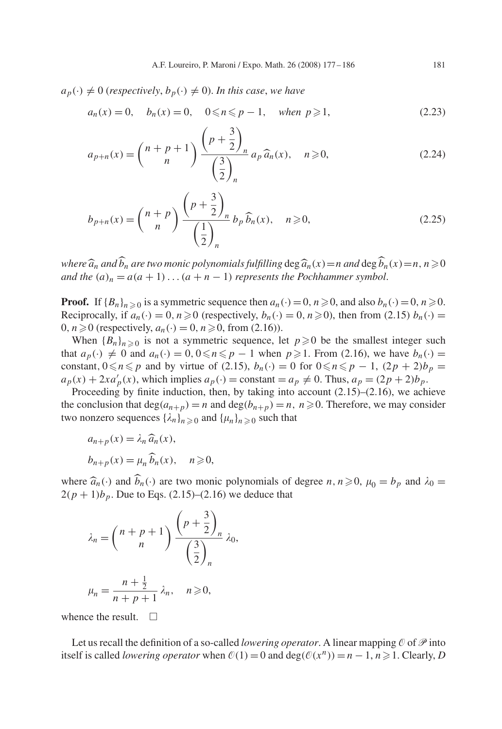$a_p(\cdot) \neq 0$  (*respectively*,  $b_p(\cdot) \neq 0$ ). In this case, we have

$$
a_n(x) = 0
$$
,  $b_n(x) = 0$ ,  $0 \le n \le p - 1$ , when  $p \ge 1$ , (2.23)

$$
a_{p+n}(x) = {n+p+1 \choose n} \frac{\left(p+\frac{3}{2}\right)_n}{\left(\frac{3}{2}\right)_n} a_p \widehat{a}_n(x), \quad n \ge 0,
$$
\n(2.24)

$$
b_{p+n}(x) = {n+p \choose n} \frac{\left(p+\frac{3}{2}\right)_n}{\left(\frac{1}{2}\right)_n} b_p \widehat{b}_n(x), \quad n \ge 0,
$$
\n(2.25)

*where*  $\widehat{a}_n$  *and*  $\widehat{b}_n$  *are two monic polynomials fulfilling* deg $\widehat{a}_n(x) = n$  *and* deg  $\widehat{b}_n(x) = n$ ,  $n \ge 0$ <br>*and the*  $(a) = a(a + 1)$   $(a + n - 1)$  *represents the Pochhammer symbol and the*  $(a)_n = a(a + 1) \dots (a + n - 1)$  *represents the Pochhammer symbol.* 

**Proof.** If  ${B_n}_{n \ge 0}$  is a symmetric sequence then  $a_n(\cdot) = 0$ ,  $n \ge 0$ , and also  $b_n(\cdot) = 0$ ,  $n \ge 0$ .<br>Reciprocally if  $a_n(\cdot) = 0$ ,  $n > 0$  (respectively  $b_n(\cdot) = 0$ ,  $n > 0$ ), then from (2.15)  $b_n(\cdot) = 0$ Reciprocally, if  $a_n(\cdot) = 0$ ,  $n \ge 0$  (respectively,  $b_n(\cdot) = 0$ ,  $n \ge 0$ ), then from (2.15)  $b_n(\cdot) = 0$ ,  $n > 0$  (respectively  $a_n(\cdot) = 0$ ,  $n > 0$  from (2.16)) 0,  $n \ge 0$  (respectively,  $a_n(\cdot) = 0$ ,  $n \ge 0$ , from (2.16)).<br>When  $\{R_n\}_{n \ge 0}$  is not a symmetric sequence left

When  ${B_n}_{n\geq 0}$  is not a symmetric sequence, let  $p\geq 0$  be the smallest integer such  $a_1(x) \neq 0$  and  $a_2(x) = 0$   $0 \leq n \leq n-1$  when  $n \geq 1$ . From (2.16) we have  $b_1(x) = 0$ that  $a_p(\cdot) \neq 0$  and  $a_n(\cdot) = 0, 0 \le n \le p - 1$  when  $p \ge 1$ . From (2.16), we have  $b_n(\cdot) =$ <br>constant  $0 \le n \le p$  and by virtue of (2.15),  $b_n(\cdot) = 0$  for  $0 \le n \le p - 1$ ,  $(2n + 2)b_n =$ constant,  $0 \leq n \leq p$  and by virtue of (2.15),  $b_n(\cdot) = 0$  for  $0 \leq n \leq p - 1$ ,  $(2p + 2)b_p =$  $a_p(x) + 2xa'_p(x)$ , which implies  $a_p(\cdot) = \text{constant} = a_p \neq 0$ . Thus,  $a_p = (2p + 2)b_p$ .<br>Proceeding by finite induction, then by taking into account (2.15)–(2.16), we ach

Proceeding by finite induction, then, by taking into account (2.15)–(2.16), we achieve the conclusion that deg(an+p) <sup>=</sup> n and deg(bn+p) <sup>=</sup> n, n-0. Therefore, we may consider two nonzero sequences  $\{\lambda_n\}_{n\geq 0}$  and  $\{\mu_n\}_{n\geq 0}$  such that

$$
a_{n+p}(x) = \lambda_n \widehat{a}_n(x),
$$
  
\n
$$
b_{n+p}(x) = \mu_n \widehat{b}_n(x), \quad n \ge 0,
$$

where  $\hat{a}_n(\cdot)$  and  $\hat{b}_n(\cdot)$  are two monic polynomials of degree  $n, n \ge 0$ ,  $\mu_0 = b_p$  and  $\lambda_0 = 2(n+1)b$ . Due to Eqs. (2.15)–(2.16) we deduce that  $2(p + 1)b_p$ . Due to Eqs. (2.15)–(2.16) we deduce that

$$
\lambda_n = {n+p+1 \choose n} \frac{\left(p+\frac{3}{2}\right)_n}{\left(\frac{3}{2}\right)_n} \lambda_0,
$$
  

$$
\mu_n = \frac{n+\frac{1}{2}}{n+p+1} \lambda_n, \quad n \ge 0,
$$

whence the result.  $\square$ 

Let us recall the definition of a so-called *lowering operator*. A linear mapping  $\mathcal{O}$  of  $\mathcal{P}$  into itself is called *lowering operator* when  $\mathcal{O}(1) = 0$  and  $\deg(\mathcal{O}(x^n)) = n - 1, n \ge 1$ . Clearly, *D*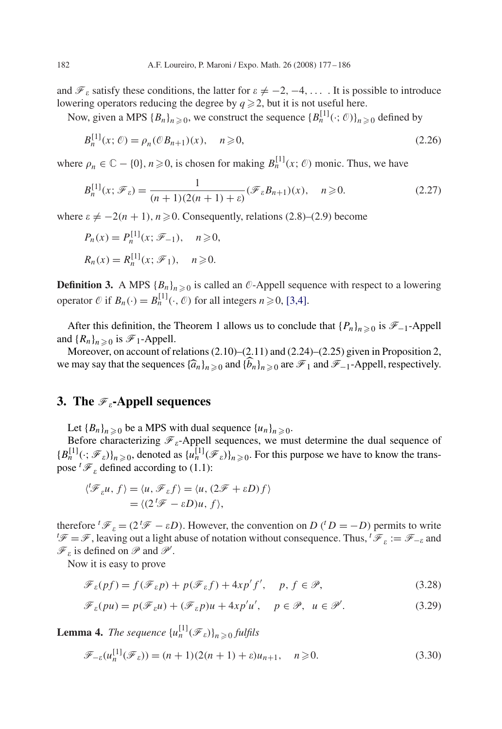and  $\mathcal{F}_{\varepsilon}$  satisfy these conditions, the latter for  $\varepsilon \neq -2, -4, \ldots$ . It is possible to introduce lowering operators reducing the degree by  $q \ge 2$ , but it is not useful here.<br>Now given a MBS (R) we construct the sequence  $[R^{[1]}(t, \mathcal{O})]$ 

Now, given a MPS  ${B_n}_{n \geq 0}$ , we construct the sequence  ${B_n}^{[1]}(\cdot; \mathcal{O})_{n \geq 0}$  defined by

$$
B_n^{[1]}(x; \mathcal{O}) = \rho_n(\mathcal{O}B_{n+1})(x), \quad n \ge 0,
$$
\n(2.26)

where  $\rho_n \in \mathbb{C} - \{0\}$ ,  $n \ge 0$ , is chosen for making  $B_n^{\{1\}}(x; \mathcal{O})$  monic. Thus, we have

$$
B_n^{[1]}(x; \mathcal{F}_\varepsilon) = \frac{1}{(n+1)(2(n+1)+\varepsilon)} (\mathcal{F}_\varepsilon B_{n+1})(x), \quad n \ge 0.
$$
 (2.27)

where  $\varepsilon \neq -2(n + 1)$ ,  $n \geq 0$ . Consequently, relations (2.8)–(2.9) become

$$
P_n(x) = P_n^{[1]}(x; \mathcal{F}_{-1}), \quad n \ge 0,
$$
  

$$
R_n(x) = R_n^{[1]}(x; \mathcal{F}_1), \quad n \ge 0.
$$

**Definition 3.** A MPS  ${B_n}_{n \geq 0}$  is called an  $\mathcal{O}$ -Appell sequence with respect to a lowering operator  $\mathcal{O}$  if  $B_n(\cdot) = B_n^{\{1\}}(\cdot, \mathcal{O})$  for all integers  $n \ge 0$ , [3,4].

After this definition, the Theorem 1 allows us to conclude that  $\{P_n\}_{n\geq 0}$  is  $\mathcal{F}_{-1}$ -Appell<br>d  $\{R_n\}_{n\geq 0}$  is  $\mathcal{F}_{+1}$ -Appell and  ${R_n}_{n\geqslant 0}$  is  $\mathcal{F}_1$ -Appell.<br>Moreover on account of r

Moreover, on account of relations (2.10)–(2.11) and (2.24)–(2.25) given in Proposition 2, we may say that the sequences  $\{\widehat{a}_n\}_{n\geq 0}$  and  $\{\widehat{b}_n\}_{n\geq 0}$  are  $\mathcal{F}_1$  and  $\mathcal{F}_{-1}$ -Appell, respectively.

#### **3.** The  $\mathscr{F}_\varepsilon$ -Appell sequences

Let  ${B_n}_{n \geq 0}$  be a MPS with dual sequence  ${u_n}_{n \geq 0}$ .<br>Before characterizing  $\mathcal{F}$  -Appell sequences, we must

Before characterizing  $\mathcal{F}_\varepsilon$ -Appell sequences, we must determine the dual sequence of  ${B_n^{[1]}(\cdot;\mathcal{F}_\varepsilon)}_{n\geq 0}$ , denoted as  ${u_n^{[1]}(\mathcal{F}_\varepsilon)}_{n\geq 0}$ . For this purpose we have to know the transpose  ${}^t {\mathcal F}_{\varepsilon}$  defined according to (1.1):

$$
\langle \n\begin{aligned} \n\langle \mathcal{F}_{\varepsilon} u, f \rangle &= \langle u, \mathcal{F}_{\varepsilon} f \rangle = \langle u, (2\mathcal{F} + \varepsilon D) f \rangle \\ \n&= \langle (2^{\mathsf{t}} \mathcal{F} - \varepsilon D) u, f \rangle, \n\end{aligned}
$$

therefore <sup>t</sup> $\mathcal{F}_{\varepsilon} = (2^t \mathcal{F} - \varepsilon D)$ . However, the convention on *D* (<sup>t</sup> *D* = −*D*) permits to write  ${}^t \mathcal{F} = \mathcal{F}$ , leaving out a light abuse of notation without consequence. Thus, <sup>t</sup> $\mathcal{F}_{\varepsilon} := \mathcal{F}_{-\vare$  $\mathscr{F} = \mathscr{F}$ , leaving out a light abuse of notation without consequence. Thus,  $^t \mathscr{F}_\varepsilon := \mathscr{F}_{-\varepsilon}$  and  $\mathscr{F}_{\varepsilon}$  is defined on  $\mathscr{P}$  and  $\mathscr{P}'$ .

Now it is easy to prove

$$
\mathcal{F}_{\varepsilon}(pf) = f(\mathcal{F}_{\varepsilon}p) + p(\mathcal{F}_{\varepsilon}f) + 4xp'f', \quad p, f \in \mathcal{P},
$$
\n(3.28)

$$
\mathcal{F}_{\varepsilon}(pu) = p(\mathcal{F}_{\varepsilon}u) + (\mathcal{F}_{\varepsilon}p)u + 4xp'u', \quad p \in \mathcal{P}, \ u \in \mathcal{P}'.
$$
 (3.29)

**Lemma 4.** *The sequence*  ${u}_n^{[1]}(\mathscr{F}_\varepsilon)_{n\geq0}$  *fulfils* 

$$
\mathcal{F}_{-\varepsilon}(u_n^{[1]}(\mathcal{F}_{\varepsilon})) = (n+1)(2(n+1)+\varepsilon)u_{n+1}, \quad n \ge 0.
$$
 (3.30)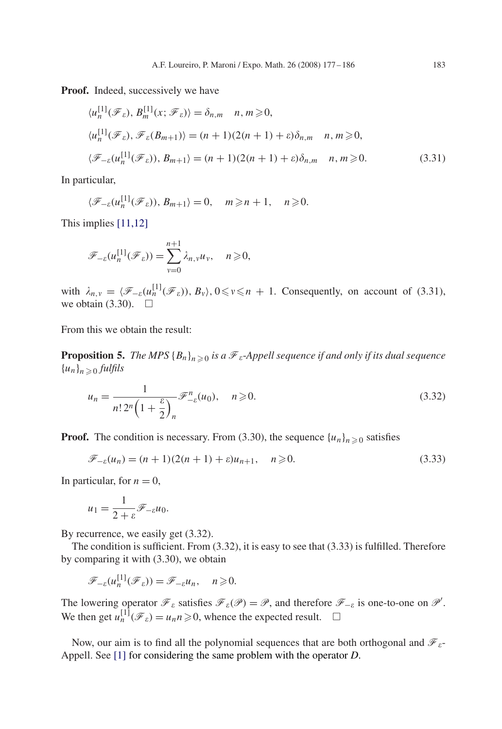**Proof.** Indeed, successively we have

$$
\langle u_n^{[1]}(\mathcal{F}_{\varepsilon}), B_m^{[1]}(x; \mathcal{F}_{\varepsilon}) \rangle = \delta_{n,m} \quad n, m \ge 0,
$$
  

$$
\langle u_n^{[1]}(\mathcal{F}_{\varepsilon}), \mathcal{F}_{\varepsilon}(B_{m+1}) \rangle = (n+1)(2(n+1)+\varepsilon)\delta_{n,m} \quad n, m \ge 0,
$$
  

$$
\langle \mathcal{F}_{-\varepsilon}(u_n^{[1]}(\mathcal{F}_{\varepsilon})), B_{m+1} \rangle = (n+1)(2(n+1)+\varepsilon)\delta_{n,m} \quad n, m \ge 0.
$$
 (3.31)

In particular,

$$
\langle \mathscr{F}_{-\varepsilon}(u_n^{[1]}(\mathscr{F}_{\varepsilon})) , B_{m+1} \rangle = 0, \quad m \geq n+1, \quad n \geq 0.
$$

This implies [11,12]

$$
\mathscr{F}_{-\varepsilon}(u_n^{[1]}(\mathscr{F}_{\varepsilon})) = \sum_{v=0}^{n+1} \lambda_{n,v} u_v, \quad n \geq 0,
$$

with  $\lambda_{n,v} = \langle \mathcal{F}_{-\varepsilon}(u_n^{[1]}(\mathcal{F}_{\varepsilon}))$ ,  $B_v \rangle$ ,  $0 \le v \le n + 1$ . Consequently, on account of (3.31), we obtain (3.30).  $\Box$ 

From this we obtain the result:

**Proposition 5.** The MPS  ${B_n}_{n\geqslant0}$  is a  $\mathcal{F}_\varepsilon$ -Appell sequence if and only if its dual sequence  ${u_n}_{n\geqslant 0}$  *fulfils* 

$$
u_n = \frac{1}{n! \, 2^n \left(1 + \frac{\varepsilon}{2}\right)_n} \mathscr{F}^n_{-\varepsilon}(u_0), \quad n \ge 0.
$$
\n
$$
(3.32)
$$

**Proof.** The condition is necessary. From (3.30), the sequence  $\{u_n\}_{n\geq 0}$  satisfies

$$
\mathcal{F}_{-\varepsilon}(u_n) = (n+1)(2(n+1)+\varepsilon)u_{n+1}, \quad n \ge 0.
$$
 (3.33)

In particular, for  $n = 0$ ,

$$
u_1 = \frac{1}{2 + \varepsilon} \mathscr{F}_{-\varepsilon} u_0.
$$

By recurrence, we easily get (3.32).

The condition is sufficient. From (3.32), it is easy to see that (3.33) is fulfilled. Therefore by comparing it with (3.30), we obtain

$$
\mathscr{F}_{-\varepsilon}(u_n^{[1]}(\mathscr{F}_{\varepsilon})) = \mathscr{F}_{-\varepsilon}u_n, \quad n \geq 0.
$$

The lowering operator  $\mathcal{F}_{\varepsilon}$  satisfies  $\mathcal{F}_{\varepsilon}(\mathcal{P}) = \mathcal{P}$ , and therefore  $\mathcal{F}_{-\varepsilon}$  is one-to-one on  $\mathcal{P}'$ .<br>We then get  $u^{[1]}(\mathcal{F}_{\varepsilon}) = u_n > 0$  whence the expected result We then get  $u_n^{[1]}(\mathcal{F}_{\varepsilon}) = u_n n \ge 0$ , whence the expected result.  $\square$ 

Now, our aim is to find all the polynomial sequences that are both orthogonal and  $\mathscr{F}_{\varepsilon}$ -Appell. See [\[1\]](#page-8-0) for considering the same problem with the operator *D*.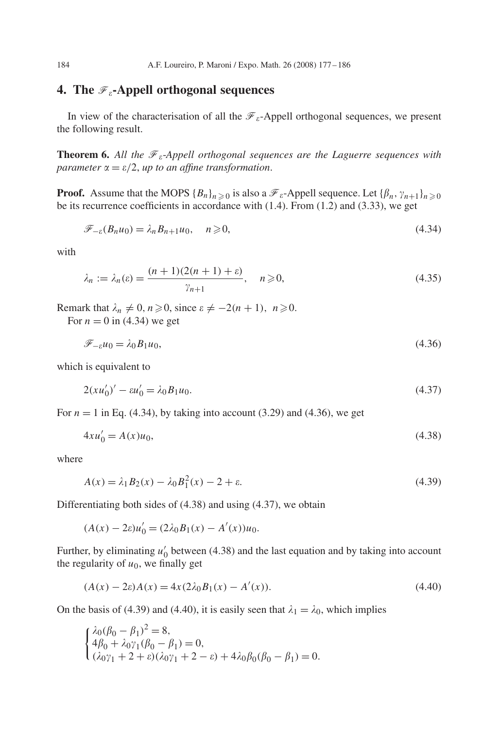### **4.** The  $\mathcal{F}_\varepsilon$ -Appell orthogonal sequences

In view of the characterisation of all the  $\mathcal{F}_{\varepsilon}$ -Appell orthogonal sequences, we present the following result.

**Theorem 6.** All the  $\mathcal{F}_{\varepsilon}$ -Appell orthogonal sequences are the Laguerre sequences with *parameter*  $\alpha = \varepsilon/2$ *, up to an affine transformation.* 

**Proof.** Assume that the MOPS  ${B_n}_{n \geq 0}$  is also a  $\mathcal{F}_\varepsilon$ -Appell sequence. Let  ${B_n, \gamma_{n+1}}_{n \geq 0}$  be its recurrence coefficients in accordance with (1.4). From (1.2) and (3.33), we get be its recurrence coefficients in accordance with (1.4). From (1.2) and (3.33), we get

$$
\mathcal{F}_{-\varepsilon}(B_n u_0) = \lambda_n B_{n+1} u_0, \quad n \ge 0,
$$
\n(4.34)

with

$$
\lambda_n := \lambda_n(\varepsilon) = \frac{(n+1)(2(n+1)+\varepsilon)}{\gamma_{n+1}}, \quad n \ge 0,
$$
\n(4.35)

Remark that  $\lambda_n \neq 0$ ,  $n \geq 0$ , since  $\varepsilon \neq -2(n+1)$ ,  $n \geq 0$ .<br>For  $n = 0$  in (4.34) we get

For  $n = 0$  in (4.34) we get

$$
\mathcal{F}_{-\varepsilon}u_0 = \lambda_0 B_1 u_0,\tag{4.36}
$$

which is equivalent to

$$
2(xu_0')' - \varepsilon u_0' = \lambda_0 B_1 u_0. \tag{4.37}
$$

For  $n = 1$  in Eq. (4.34), by taking into account (3.29) and (4.36), we get

$$
4xu_0' = A(x)u_0,
$$
\n(4.38)

where

$$
A(x) = \lambda_1 B_2(x) - \lambda_0 B_1^2(x) - 2 + \varepsilon.
$$
\n(4.39)

Differentiating both sides of (4.38) and using (4.37), we obtain

$$
(A(x) - 2\varepsilon)u'_0 = (2\lambda_0 B_1(x) - A'(x))u_0.
$$

Further, by eliminating  $u'_0$  between (4.38) and the last equation and by taking into account the reqularity of  $u_0$ , we finally get the regularity of  $u_0$ , we finally get

$$
(A(x) - 2\varepsilon)A(x) = 4x(2\lambda_0 B_1(x) - A'(x)).
$$
\n(4.40)

On the basis of (4.39) and (4.40), it is easily seen that  $\lambda_1 = \lambda_0$ , which implies

$$
\begin{cases} \lambda_0(\beta_0 - \beta_1)^2 = 8, \\ 4\beta_0 + \lambda_0 \gamma_1 (\beta_0 - \beta_1) = 0, \\ (\lambda_0 \gamma_1 + 2 + \varepsilon)(\lambda_0 \gamma_1 + 2 - \varepsilon) + 4\lambda_0 \beta_0 (\beta_0 - \beta_1) = 0. \end{cases}
$$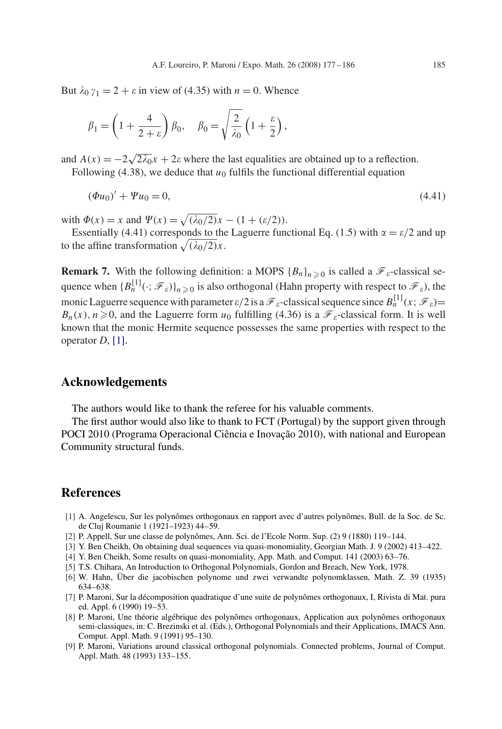<span id="page-8-0"></span>But  $\lambda_0 \gamma_1 = 2 + \varepsilon$  in view of (4.35) with  $n = 0$ . Whence

$$
\beta_1 = \left(1 + \frac{4}{2+\varepsilon}\right)\beta_0, \quad \beta_0 = \sqrt{\frac{2}{\lambda_0}}\left(1 + \frac{\varepsilon}{2}\right),
$$

and  $A(x) = -2\sqrt{2\lambda_0}x + 2\varepsilon$  where the last equalities are obtained up to a reflection.<br>Following (4.38), we deduce that  $u_0$  fulfils the functional differential equation Following (4.38), we deduce that  $u_0$  fulfils the functional differential equation

$$
(\Phi u_0)' + \Psi u_0 = 0,\t\t(4.41)
$$

with  $\Phi(x) = x$  and  $\Psi(x) = \sqrt{(\lambda_0/2)}x - (1 + (\varepsilon/2))$ .<br>Essentially (4.41) corresponds to the Laguerre function

Essentially (4.41) corresponds to the Laguerre functional Eq. (1.5) with  $\alpha = \varepsilon/2$  and up to the affine transformation  $\sqrt{(\lambda_0/2)}x$ .

**Remark 7.** With the following definition: a MOPS  ${B_n}_{n\geq 0}$  is called a  $\mathcal{F}_\varepsilon$ -classical sequence when  ${B_n^{[1]}}(\cdot; \mathcal{F}_\varepsilon)_{n\geq 0}$  is also orthogonal (Hahn property with respect to  $\mathcal{F}_\varepsilon$ ), the monic Laguerre sequence with parameter  $\varepsilon/2$  is a  $\mathcal{F}_{\varepsilon}$ -classical sequence since  $B_n^{[1]}(x; \mathcal{F}_{\varepsilon})=$  $B_n(x)$ ,  $n \ge 0$ , and the Laguerre form  $u_0$  fulfilling (4.36) is a  $\mathcal{F}_\varepsilon$ -classical form. It is well<br>known that the monic Hermite sequence possesses the same properties with respect to the known that the monic Hermite sequence possesses the same properties with respect to the operator *D*, [1].

#### **Acknowledgements**

The authors would like to thank the referee for his valuable comments.

The first author would also like to thank to FCT (Portugal) by the support given through POCI 2010 (Programa Operacional Ciência e Inovação 2010), with national and European Community structural funds.

## **References**

- [1] A. Angelescu, Sur les polynômes orthogonaux en rapport avec d'autres polynômes, Bull. de la Soc. de Sc. de Cluj Roumanie 1 (1921–1923) 44–59.
- [2] P. Appell, Sur une classe de polynômes, Ann. Sci. de l'Ecole Norm. Sup. (2) 9 (1880) 119–144.
- [3] Y. Ben Cheikh, On obtaining dual sequences via quasi-monomiality, Georgian Math. J. 9 (2002) 413–422.
- [4] Y. Ben Cheikh, Some results on quasi-monomiality, App. Math. and Comput. 141 (2003) 63–76.
- [5] T.S. Chihara, An Introduction to Orthogonal Polynomials, Gordon and Breach, New York, 1978.
- [6] W. Hahn, Über die jacobischen polynome und zwei verwandte polynomklassen, Math. Z. 39 (1935) 634–638.
- [7] P. Maroni, Sur la décomposition quadratique d'une suite de polynômes orthogonaux, I, Rivista di Mat. pura ed. Appl. 6 (1990) 19–53.
- [8] P. Maroni, Une théorie algébrique des polynômes orthogonaux, Application aux polynômes orthogonaux semi-classiques, in: C. Brezinski et al. (Eds.), Orthogonal Polynomials and their Applications, IMACS Ann. Comput. Appl. Math. 9 (1991) 95–130.
- [9] P. Maroni, Variations around classical orthogonal polynomials. Connected problems, Journal of Comput. Appl. Math. 48 (1993) 133–155.